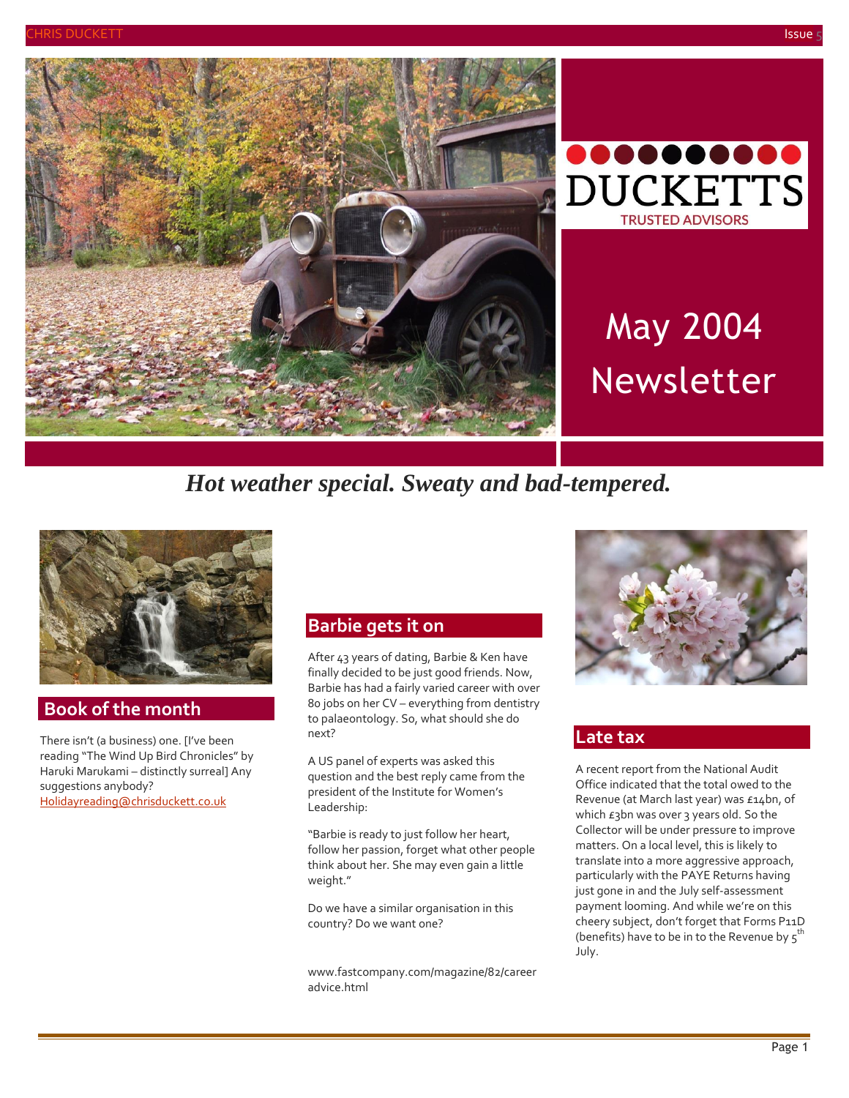



# May 2004 Newsletter

# *Hot weather special. Sweaty and bad-tempered.*



### **Book of the month**

There isn't (a business) one. [I've been reading "The Wind Up Bird Chronicles" by Haruki Marukami – distinctly surreal] Any suggestions anybody? [Holidayreading@chrisduckett.co.uk](mailto:Holidayreading@chrisduckett.co.uk)

#### **Barbie gets it on**

After 43 years of dating, Barbie & Ken have finally decided to be just good friends. Now, Barbie has had a fairly varied career with over 80 jobs on her CV – everything from dentistry to palaeontology. So, what should she do next?

A US panel of experts was asked this question and the best reply came from the president of the Institute for Women's Leadership:

"Barbie is ready to just follow her heart, follow her passion, forget what other people think about her. She may even gain a little weight."

Do we have a similar organisation in this country? Do we want one?

[www.fastcompany.com/magazine/82/career](http://www.fastcompany.com/magazine/82/careeradvice.html) [advice.html](http://www.fastcompany.com/magazine/82/careeradvice.html)



#### **Late tax**

A recent report from the National Audit Office indicated that the total owed to the Revenue (at March last year) was £14bn, of which  $\epsilon$ 3bn was over 3 years old. So the Collector will be under pressure to improve matters. On a local level, this is likely to translate into a more aggressive approach, particularly with the PAYE Returns having just gone in and the July self-assessment payment looming. And while we're on this cheery subject, don't forget that Forms P11D (benefits) have to be in to the Revenue by  $5^{th}$ July.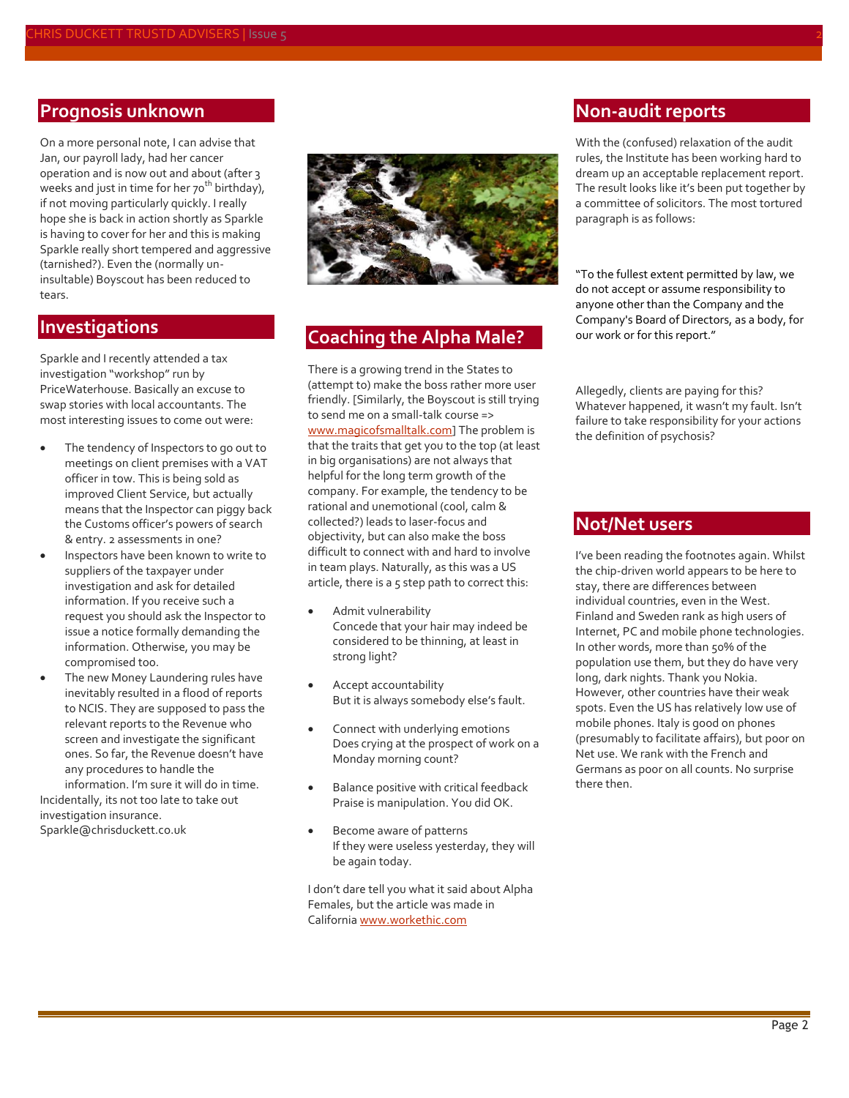#### **Prognosis unknown**

On a more personal note, I can advise that Jan, our payroll lady, had her cancer operation and is now out and about (after 3 weeks and just in time for her  $70^{th}$  birthday), if not moving particularly quickly. I really hope she is back in action shortly as Sparkle is having to cover for her and this is making Sparkle really short tempered and aggressive (tarnished?). Even the (normally uninsultable) Boyscout has been reduced to tears.

#### **Investigations**

Sparkle and I recently attended a tax investigation "workshop" run by PriceWaterhouse. Basically an excuse to swap stories with local accountants. The most interesting issues to come out were:

- The tendency of Inspectors to go out to meetings on client premises with a VAT officer in tow. This is being sold as improved Client Service, but actually means that the Inspector can piggy back the Customs officer's powers of search & entry. 2 assessments in one?
- Inspectors have been known to write to suppliers of the taxpayer under investigation and ask for detailed information. If you receive such a request you should ask the Inspector to issue a notice formally demanding the information. Otherwise, you may be compromised too.
- The new Money Laundering rules have inevitably resulted in a flood of reports to NCIS. They are supposed to pass the relevant reports to the Revenue who screen and investigate the significant ones. So far, the Revenue doesn't have any procedures to handle the

information. I'm sure it will do in time. Incidentally, its not too late to take out investigation insurance. Sparkle@chrisduckett.co.uk



# **Coaching the Alpha Male?**

There is a growing trend in the States to (attempt to) make the boss rather more user friendly. [Similarly, the Boyscout is still trying to send me on a small-talk course => [www.magicofsmalltalk.com\]](www.magicofsmalltalk.com) The problem is that the traits that get you to the top (at least in big organisations) are not always that helpful for the long term growth of the company. For example, the tendency to be rational and unemotional (cool, calm & collected?) leads to laser-focus and objectivity, but can also make the boss difficult to connect with and hard to involve in team plays. Naturally, as this was a US article, there is a  $5$  step path to correct this:

- Admit vulnerability Concede that your hair may indeed be considered to be thinning, at least in strong light?
- Accept accountability But it is always somebody else's fault.
- Connect with underlying emotions Does crying at the prospect of work on a Monday morning count?
- Balance positive with critical feedback Praise is manipulation. You did OK.
- Become aware of patterns If they were useless yesterday, they will be again today.

I don't dare tell you what it said about Alpha Females, but the article was made in Californi[a www.workethic.com](http://www.workethic.com/)

#### **Non-audit reports**

With the (confused) relaxation of the audit rules, the Institute has been working hard to dream up an acceptable replacement report. The result looks like it's been put together by a committee of solicitors. The most tortured paragraph is as follows:

"To the fullest extent permitted by law, we do not accept or assume responsibility to anyone other than the Company and the Company's Board of Directors, as a body, for our work or for this report."

Allegedly, clients are paying for this? Whatever happened, it wasn't my fault. Isn't failure to take responsibility for your actions the definition of psychosis?

#### **Not/Net users**

I've been reading the footnotes again. Whilst the chip-driven world appears to be here to stay, there are differences between individual countries, even in the West. Finland and Sweden rank as high users of Internet, PC and mobile phone technologies. In other words, more than 50% of the population use them, but they do have very long, dark nights. Thank you Nokia. However, other countries have their weak spots. Even the US has relatively low use of mobile phones. Italy is good on phones (presumably to facilitate affairs), but poor on Net use. We rank with the French and Germans as poor on all counts. No surprise there then.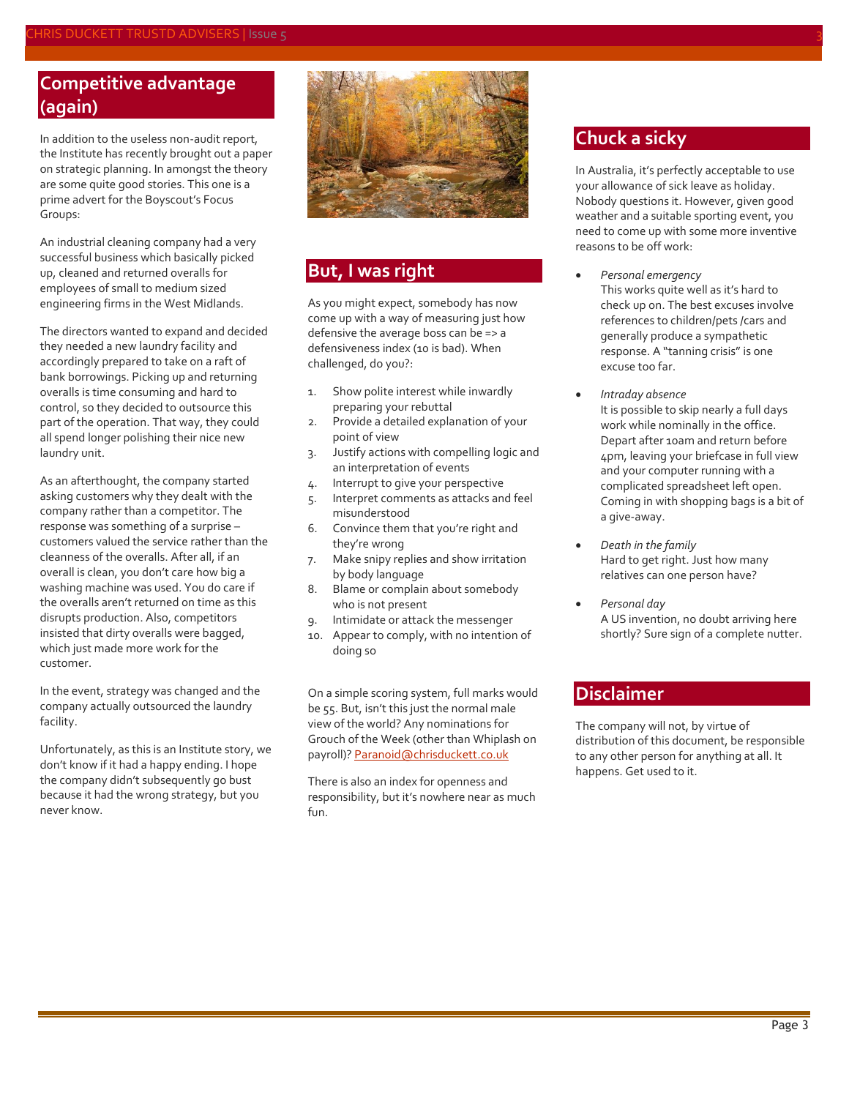## **Competitive advantage (again)**

In addition to the useless non-audit report, the Institute has recently brought out a paper on strategic planning. In amongst the theory are some quite good stories. This one is a prime advert for the Boyscout's Focus Groups:

An industrial cleaning company had a very successful business which basically picked up, cleaned and returned overalls for employees of small to medium sized engineering firms in the West Midlands.

The directors wanted to expand and decided they needed a new laundry facility and accordingly prepared to take on a raft of bank borrowings. Picking up and returning overalls is time consuming and hard to control, so they decided to outsource this part of the operation. That way, they could all spend longer polishing their nice new laundry unit.

As an afterthought, the company started asking customers why they dealt with the company rather than a competitor. The response was something of a surprise – customers valued the service rather than the cleanness of the overalls. After all, if an overall is clean, you don't care how big a washing machine was used. You do care if the overalls aren't returned on time as this disrupts production. Also, competitors insisted that dirty overalls were bagged, which just made more work for the customer.

In the event, strategy was changed and the company actually outsourced the laundry facility.

Unfortunately, as this is an Institute story, we don't know if it had a happy ending. I hope the company didn't subsequently go bust because it had the wrong strategy, but you never know.



## **But, I was right**

As you might expect, somebody has now come up with a way of measuring just how defensive the average boss can be => a defensiveness index (10 is bad). When challenged, do you?:

- 1. Show polite interest while inwardly preparing your rebuttal
- 2. Provide a detailed explanation of your point of view
- 3. Justify actions with compelling logic and an interpretation of events
- 4. Interrupt to give your perspective
- 5. Interpret comments as attacks and feel misunderstood
- 6. Convince them that you're right and they're wrong
- 7. Make snipy replies and show irritation by body language
- 8. Blame or complain about somebody who is not present
- 9. Intimidate or attack the messenger
- 10. Appear to comply, with no intention of doing so

On a simple scoring system, full marks would be 55. But, isn't this just the normal male view of the world? Any nominations for Grouch of the Week (other than Whiplash on payroll)? [Paranoid@chrisduckett.co.uk](mailto:Paranoid@chrisduckett.co.uk)

There is also an index for openness and responsibility, but it's nowhere near as much fun.

## **Chuck a sicky**

In Australia, it's perfectly acceptable to use your allowance of sick leave as holiday. Nobody questions it. However, given good weather and a suitable sporting event, you need to come up with some more inventive reasons to be off work:

- *Personal emergency* This works quite well as it's hard to check up on. The best excuses involve references to children/pets /cars and generally produce a sympathetic response. A "tanning crisis" is one excuse too far.
- *Intraday absence* It is possible to skip nearly a full days work while nominally in the office. Depart after 10am and return before 4pm, leaving your briefcase in full view and your computer running with a complicated spreadsheet left open. Coming in with shopping bags is a bit of a give-away.
- *Death in the family* Hard to get right. Just how many relatives can one person have?
- *Personal day* A US invention, no doubt arriving here shortly? Sure sign of a complete nutter.

### **Disclaimer**

The company will not, by virtue of distribution of this document, be responsible to any other person for anything at all. It happens. Get used to it.